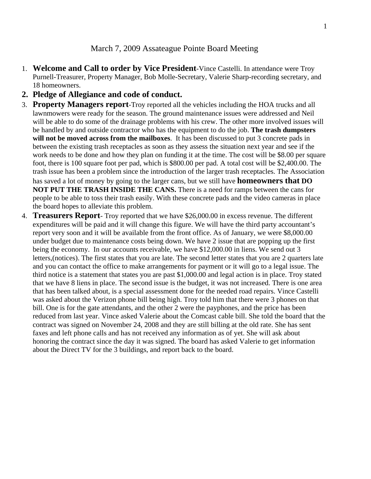#### March 7, 2009 Assateague Pointe Board Meeting

- 1. **Welcome and Call to order by Vice President**-Vince Castelli. In attendance were Troy Purnell-Treasurer, Property Manager, Bob Molle-Secretary, Valerie Sharp-recording secretary, and 18 homeowners.
- **2. Pledge of Allegiance and code of conduct.**
- 3. **Property Managers report**-Troy reported all the vehicles including the HOA trucks and all lawnmowers were ready for the season. The ground maintenance issues were addressed and Neil will be able to do some of the drainage problems with his crew. The other more involved issues will be handled by and outside contractor who has the equipment to do the job. **The trash dumpsters will not be moved across from the mailboxes**. It has been discussed to put 3 concrete pads in between the existing trash receptacles as soon as they assess the situation next year and see if the work needs to be done and how they plan on funding it at the time. The cost will be \$8.00 per square foot, there is 100 square foot per pad, which is \$800.00 per pad. A total cost will be \$2,400.00. The trash issue has been a problem since the introduction of the larger trash receptacles. The Association has saved a lot of money by going to the larger cans, but we still have **homeowners that DO NOT PUT THE TRASH INSIDE THE CANS.** There is a need for ramps between the cans for people to be able to toss their trash easily. With these concrete pads and the video cameras in place the board hopes to alleviate this problem.
- 4. **Treasurers Report** Troy reported that we have \$26,000.00 in excess revenue. The different expenditures will be paid and it will change this figure. We will have the third party accountant's report very soon and it will be available from the front office. As of January, we were \$8,000.00 under budget due to maintenance costs being down. We have 2 issue that are popping up the first being the economy. In our accounts receivable, we have \$12,000.00 in liens. We send out 3 letters,(notices). The first states that you are late. The second letter states that you are 2 quarters late and you can contact the office to make arrangements for payment or it will go to a legal issue. The third notice is a statement that states you are past \$1,000.00 and legal action is in place. Troy stated that we have 8 liens in place. The second issue is the budget, it was not increased. There is one area that has been talked about, is a special assessment done for the needed road repairs. Vince Castelli was asked about the Verizon phone bill being high. Troy told him that there were 3 phones on that bill. One is for the gate attendants, and the other 2 were the payphones, and the price has been reduced from last year. Vince asked Valerie about the Comcast cable bill. She told the board that the contract was signed on November 24, 2008 and they are still billing at the old rate. She has sent faxes and left phone calls and has not received any information as of yet. She will ask about honoring the contract since the day it was signed. The board has asked Valerie to get information about the Direct TV for the 3 buildings, and report back to the board.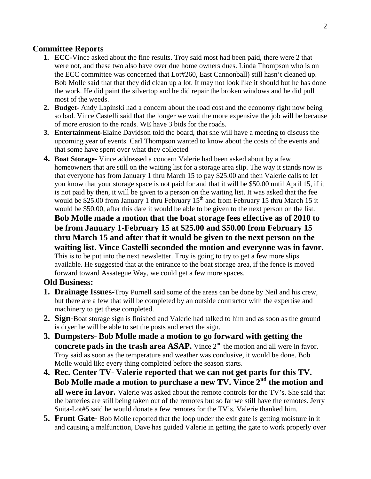# **Committee Reports**

- **1. ECC-**Vince asked about the fine results. Troy said most had been paid, there were 2 that were not, and these two also have over due home owners dues. Linda Thompson who is on the ECC committee was concerned that Lot#260, East Cannonball) still hasn't cleaned up. Bob Molle said that that they did clean up a lot. It may not look like it should but he has done the work. He did paint the silvertop and he did repair the broken windows and he did pull most of the weeds.
- **2. Budget-** Andy Lapinski had a concern about the road cost and the economy right now being so bad. Vince Castelli said that the longer we wait the more expensive the job will be because of more erosion to the roads. WE have 3 bids for the roads.
- **3. Entertainment-**Elaine Davidson told the board, that she will have a meeting to discuss the upcoming year of events. Carl Thompson wanted to know about the costs of the events and that some have spent over what they collected
- **4. Boat Storage-** Vince addressed a concern Valerie had been asked about by a few homeowners that are still on the waiting list for a storage area slip. The way it stands now is that everyone has from January 1 thru March 15 to pay \$25.00 and then Valerie calls to let you know that your storage space is not paid for and that it will be \$50.00 until April 15, if it is not paid by then, it will be given to a person on the waiting list. It was asked that the fee would be \$25.00 from January 1 thru February  $15<sup>th</sup>$  and from February 15 thru March 15 it would be \$50.00, after this date it would be able to be given to the next person on the list.

**Bob Molle made a motion that the boat storage fees effective as of 2010 to be from January 1-February 15 at \$25.00 and \$50.00 from February 15 thru March 15 and after that it would be given to the next person on the waiting list. Vince Castelli seconded the motion and everyone was in favor.**  This is to be put into the next newsletter. Troy is going to try to get a few more slips available. He suggested that at the entrance to the boat storage area, if the fence is moved forward toward Assategue Way, we could get a few more spaces.

## **Old Business:**

- **1. Drainage Issues-**Troy Purnell said some of the areas can be done by Neil and his crew, but there are a few that will be completed by an outside contractor with the expertise and machinery to get these completed.
- **2. Sign-**Boat storage sign is finished and Valerie had talked to him and as soon as the ground is dryer he will be able to set the posts and erect the sign.
- **3. Dumpsters- Bob Molle made a motion to go forward with getting the concrete pads in the trash area ASAP.** Vince  $2<sup>nd</sup>$  the motion and all were in favor. Troy said as soon as the temperature and weather was condusive, it would be done. Bob Molle would like every thing completed before the season starts.
- **4. Rec. Center TV Valerie reported that we can not get parts for this TV. Bob Molle made a motion to purchase a new TV. Vince 2nd the motion and all were in favor.** Valerie was asked about the remote controls for the TV's. She said that the batteries are still being taken out of the remotes but so far we still have the remotes. Jerry Suita-Lot#5 said he would donate a few remotes for the TV's. Valerie thanked him.
- **5. Front Gate-** Bob Molle reported that the loop under the exit gate is getting moisture in it and causing a malfunction, Dave has guided Valerie in getting the gate to work properly over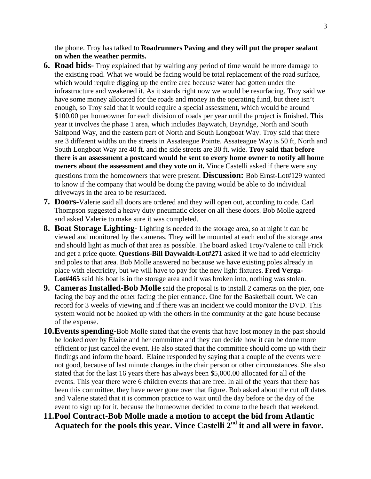the phone. Troy has talked to **Roadrunners Paving and they will put the proper sealant on when the weather permits.** 

- **6. Road bids-** Troy explained that by waiting any period of time would be more damage to the existing road. What we would be facing would be total replacement of the road surface, which would require digging up the entire area because water had gotten under the infrastructure and weakened it. As it stands right now we would be resurfacing. Troy said we have some money allocated for the roads and money in the operating fund, but there isn't enough, so Troy said that it would require a special assessment, which would be around \$100.00 per homeowner for each division of roads per year until the project is finished. This year it involves the phase 1 area, which includes Baywatch, Bayridge, North and South Saltpond Way, and the eastern part of North and South Longboat Way. Troy said that there are 3 different widths on the streets in Assateague Pointe. Assateague Way is 50 ft, North and South Longboat Way are 40 ft. and the side streets are 30 ft. wide. **Troy said that before there is an assessment a postcard would be sent to every home owner to notify all home owners about the assessment and they vote on it.** Vince Castelli asked if there were any questions from the homeowners that were present. **Discussion:** Bob Ernst-Lot#129 wanted to know if the company that would be doing the paving would be able to do individual driveways in the area to be resurfaced.
- **7. Doors-**Valerie said all doors are ordered and they will open out, according to code. Carl Thompson suggested a heavy duty pneumatic closer on all these doors. Bob Molle agreed and asked Valerie to make sure it was completed.
- **8. Boat Storage Lighting-** Lighting is needed in the storage area, so at night it can be viewed and monitored by the cameras. They will be mounted at each end of the storage area and should light as much of that area as possible. The board asked Troy/Valerie to call Frick and get a price quote. **Questions**-**Bill Daywaldt-Lot#271** asked if we had to add electricity and poles to that area. Bob Molle answered no because we have existing poles already in place with electricity, but we will have to pay for the new light fixtures. **Fred Verga-Lot#465** said his boat is in the storage area and it was broken into, nothing was stolen.
- **9. Cameras Installed-Bob Molle** said the proposal is to install 2 cameras on the pier, one facing the bay and the other facing the pier entrance. One for the Basketball court. We can record for 3 weeks of viewing and if there was an incident we could monitor the DVD. This system would not be hooked up with the others in the community at the gate house because of the expense.
- **10.Events spending-**Bob Molle stated that the events that have lost money in the past should be looked over by Elaine and her committee and they can decide how it can be done more efficient or just cancel the event. He also stated that the committee should come up with their findings and inform the board. Elaine responded by saying that a couple of the events were not good, because of last minute changes in the chair person or other circumstances. She also stated that for the last 16 years there has always been \$5,000.00 allocated for all of the events. This year there were 6 children events that are free. In all of the years that there has been this committee, they have never gone over that figure. Bob asked about the cut off dates and Valerie stated that it is common practice to wait until the day before or the day of the event to sign up for it, because the homeowner decided to come to the beach that weekend.
- **11.Pool Contract-Bob Molle made a motion to accept the bid from Atlantic Aquatech for the pools this year. Vince Castelli 2nd it and all were in favor.**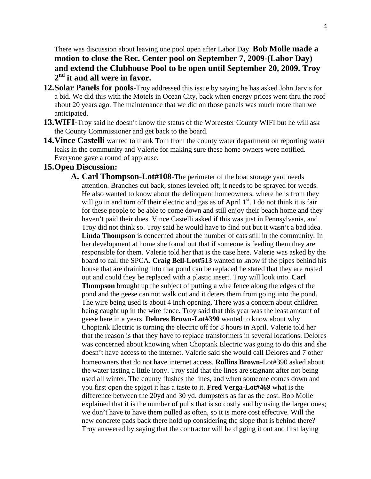There was discussion about leaving one pool open after Labor Day. **Bob Molle made a motion to close the Rec. Center pool on September 7, 2009-(Labor Day) and extend the Clubhouse Pool to be open until September 20, 2009. Troy 2nd it and all were in favor.** 

- **12.Solar Panels for pools**-Troy addressed this issue by saying he has asked John Jarvis for a bid. We did this with the Motels in Ocean City, back when energy prices went thru the roof about 20 years ago. The maintenance that we did on those panels was much more than we anticipated.
- **13.WIFI-**Troy said he doesn't know the status of the Worcester County WIFI but he will ask the County Commissioner and get back to the board.
- **14.Vince Castelli** wanted to thank Tom from the county water department on reporting water leaks in the community and Valerie for making sure these home owners were notified. Everyone gave a round of applause.

### **15.Open Discussion:**

**A. Carl Thompson-Lot#108-**The perimeter of the boat storage yard needs attention. Branches cut back, stones leveled off; it needs to be sprayed for weeds. He also wanted to know about the delinquent homeowners, where he is from they will go in and turn off their electric and gas as of April  $1<sup>st</sup>$ . I do not think it is fair for these people to be able to come down and still enjoy their beach home and they haven't paid their dues. Vince Castelli asked if this was just in Pennsylvania, and Troy did not think so. Troy said he would have to find out but it wasn't a bad idea. **Linda Thompson** is concerned about the number of cats still in the community. In her development at home she found out that if someone is feeding them they are responsible for them. Valerie told her that is the case here. Valerie was asked by the board to call the SPCA. **Craig Bell-Lot#513** wanted to know if the pipes behind his house that are draining into that pond can be replaced he stated that they are rusted out and could they be replaced with a plastic insert. Troy will look into. **Carl Thompson** brought up the subject of putting a wire fence along the edges of the pond and the geese can not walk out and it deters them from going into the pond. The wire being used is about 4 inch opening. There was a concern about children being caught up in the wire fence. Troy said that this year was the least amount of geese here in a years. **Delores Brown-Lot#390** wanted to know about why Choptank Electric is turning the electric off for 8 hours in April. Valerie told her that the reason is that they have to replace transformers in several locations. Delores was concerned about knowing when Choptank Electric was going to do this and she doesn't have access to the internet. Valerie said she would call Delores and 7 other homeowners that do not have internet access. **Rollins Brown-**Lot#390 asked about the water tasting a little irony. Troy said that the lines are stagnant after not being used all winter. The county flushes the lines, and when someone comes down and you first open the spigot it has a taste to it. **Fred Verga-Lot#469** what is the difference between the 20yd and 30 yd. dumpsters as far as the cost. Bob Molle explained that it is the number of pulls that is so costly and by using the larger ones; we don't have to have them pulled as often, so it is more cost effective. Will the new concrete pads back there hold up considering the slope that is behind there? Troy answered by saying that the contractor will be digging it out and first laying